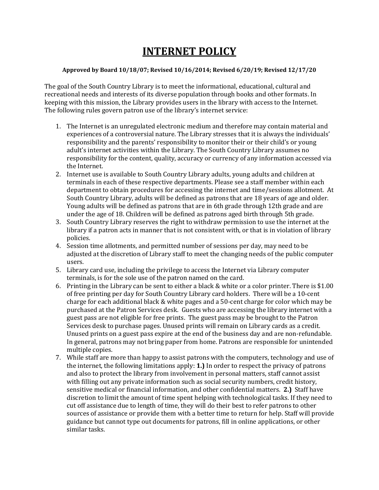## **INTERNET POLICY**

## **Approved by Board 10/18/07; Revised 10/16/2014; Revised 6/20/19; Revised 12/17/20**

The goal of the South Country Library is to meet the informational, educational, cultural and recreational needs and interests of its diverse population through books and other formats. In keeping with this mission, the Library provides users in the library with access to the Internet. The following rules govern patron use of the library's internet service:

- 1. The Internet is an unregulated electronic medium and therefore may contain material and experiences of a controversial nature. The Library stresses that it is always the individuals' responsibility and the parents' responsibility to monitor their or their child's or young adult's internet activities within the Library. The South Country Library assumes no responsibility for the content, quality, accuracy or currency of any information accessed via the Internet.
- 2. Internet use is available to South Country Library adults, young adults and children at terminals in each of these respective departments. Please see a staff member within each department to obtain procedures for accessing the internet and time/sessions allotment. At South Country Library, adults will be defined as patrons that are 18 years of age and older. Young adults will be defined as patrons that are in 6th grade through 12th grade and are under the age of 18. Children will be defined as patrons aged birth through 5th grade.
- 3. South Country Library reserves the right to withdraw permission to use the internet at the library if a patron acts in manner that is not consistent with, or that is in violation of library policies.
- 4. Session time allotments, and permitted number of sessions per day, may need to be adjusted at the discretion of Library staff to meet the changing needs of the public computer users.
- 5. Library card use, including the privilege to access the Internet via Library computer terminals, is for the sole use of the patron named on the card.
- 6. Printing in the Library can be sent to either a black & white or a color printer. There is \$1.00 of free printing per day for South Country Library card holders. There will be a 10-cent charge for each additional black & white pages and a 50-cent charge for color which may be purchased at the Patron Services desk. Guests who are accessing the library internet with a guest pass are not eligible for free prints. The guest pass may be brought to the Patron Services desk to purchase pages. Unused prints will remain on Library cards as a credit. Unused prints on a guest pass expire at the end of the business day and are non-refundable. In general, patrons may not bring paper from home. Patrons are responsible for unintended multiple copies.
- 7. While staff are more than happy to assist patrons with the computers, technology and use of the internet, the following limitations apply: **1.)** In order to respect the privacy of patrons and also to protect the library from involvement in personal matters, staff cannot assist with filling out any private information such as social security numbers, credit history, sensitive medical or financial information, and other confidential matters. **2.)** Staff have discretion to limit the amount of time spent helping with technological tasks. If they need to cut off assistance due to length of time, they will do their best to refer patrons to other sources of assistance or provide them with a better time to return for help. Staff will provide guidance but cannot type out documents for patrons, fill in online applications, or other similar tasks.